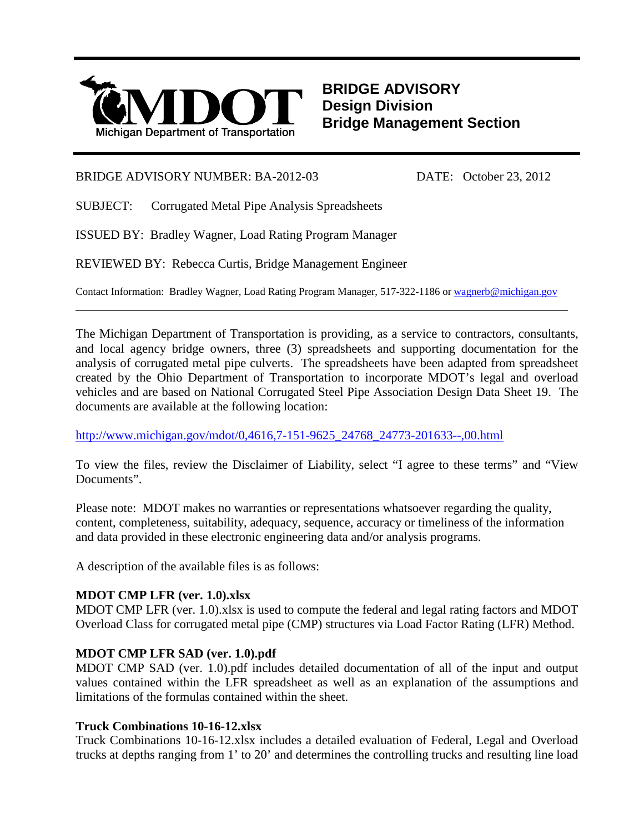

**BRIDGE ADVISORY Design Division Bridge Management Section**

# BRIDGE ADVISORY NUMBER: BA-2012-03 DATE: October 23, 2012

SUBJECT: Corrugated Metal Pipe Analysis Spreadsheets

ISSUED BY: Bradley Wagner, Load Rating Program Manager

REVIEWED BY: Rebecca Curtis, Bridge Management Engineer

Contact Information: Bradley Wagner, Load Rating Program Manager, 517-322-1186 o[r wagnerb@michigan.gov](mailto:wagnerb@michigan.gov)

The Michigan Department of Transportation is providing, as a service to contractors, consultants, and local agency bridge owners, three (3) spreadsheets and supporting documentation for the analysis of corrugated metal pipe culverts. The spreadsheets have been adapted from spreadsheet created by the Ohio Department of Transportation to incorporate MDOT's legal and overload vehicles and are based on National Corrugated Steel Pipe Association Design Data Sheet 19. The documents are available at the following location:

 $\overline{a}$ 

[http://www.michigan.gov/mdot/0,4616,7-151-9625\\_24768\\_24773-201633--,00.html](http://www.michigan.gov/mdot/0,4616,7-151-9625_24768_24773-201633--,00.html)

To view the files, review the Disclaimer of Liability, select "I agree to these terms" and "View Documents".

Please note: MDOT makes no warranties or representations whatsoever regarding the quality, content, completeness, suitability, adequacy, sequence, accuracy or timeliness of the information and data provided in these electronic engineering data and/or analysis programs.

A description of the available files is as follows:

# **MDOT CMP LFR (ver. 1.0).xlsx**

MDOT CMP LFR (ver. 1.0).xlsx is used to compute the federal and legal rating factors and MDOT Overload Class for corrugated metal pipe (CMP) structures via Load Factor Rating (LFR) Method.

# **MDOT CMP LFR SAD (ver. 1.0).pdf**

MDOT CMP SAD (ver. 1.0).pdf includes detailed documentation of all of the input and output values contained within the LFR spreadsheet as well as an explanation of the assumptions and limitations of the formulas contained within the sheet.

# **Truck Combinations 10-16-12.xlsx**

Truck Combinations 10-16-12.xlsx includes a detailed evaluation of Federal, Legal and Overload trucks at depths ranging from 1' to 20' and determines the controlling trucks and resulting line load